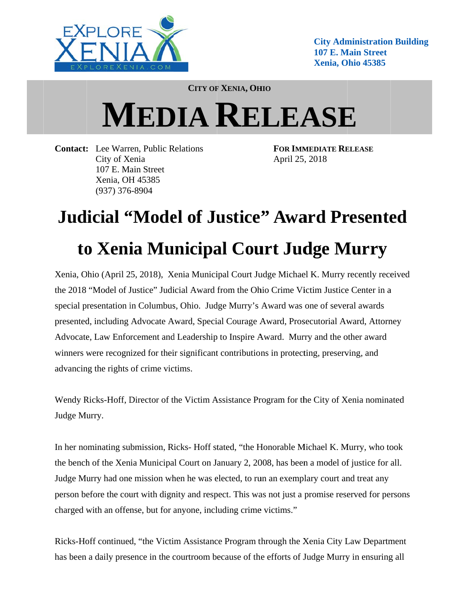

**City Administration Building** 107 E. Main Street Xenia, Ohio 45385

**CITY OF XENIA, OHIO** 

## **MEDIA RELEASE**

**Contact:** Lee Warren, Public Relations City of Xenia 107 E. Main Street Xenia, OH 45385  $(937)$  376-8904

**FOR IMMEDIATE RELEASE** April 25, 2018

## **Judicial "Model of Justice" Award Presented** to Xenia Municipal Court Judge Murry

Xenia, Ohio (April 25, 2018), Xenia Municipal Court Judge Michael K. Murry recently received the 2018 "Model of Justice" Judicial Award from the Ohio Crime Victim Justice Center in a special presentation in Columbus, Ohio. Judge Murry's Award was one of several awards presented, including Advocate Award, Special Courage Award, Prosecutorial Award, Attorney Advocate, Law Enforcement and Leadership to Inspire Award. Murry and the other award winners were recognized for their significant contributions in protecting, preserving, and advancing the rights of crime victims.

Wendy Ricks-Hoff, Director of the Victim Assistance Program for the City of Xenia nominated Judge Murry.

In her nominating submission, Ricks-Hoff stated, "the Honorable Michael K. Murry, who took the bench of the Xenia Municipal Court on January 2, 2008, has been a model of justice for all. Judge Murry had one mission when he was elected, to run an exemplary court and treat any person before the court with dignity and respect. This was not just a promise reserved for persons charged with an offense, but for anyone, including crime victims."

Ricks-Hoff continued, "the Victim Assistance Program through the Xenia City Law Department has been a daily presence in the courtroom because of the efforts of Judge Murry in ensuring all